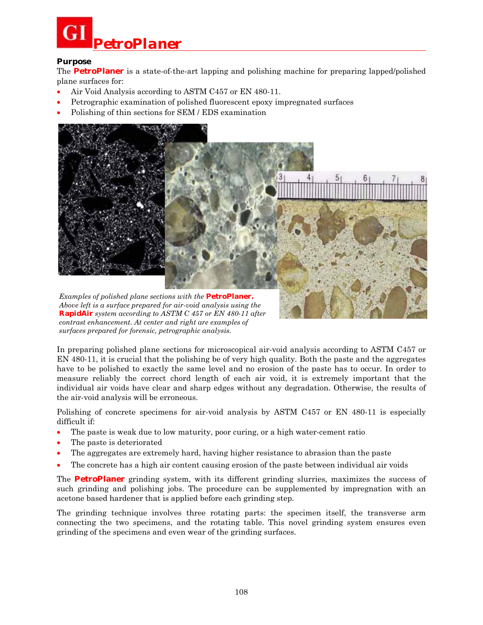# *PetroPlaner*

## **Purpose**

The **PetroPlaner** is a state-of-the-art lapping and polishing machine for preparing lapped/polished plane surfaces for:

- Air Void Analysis according to ASTM C457 or EN 480-11.
- Petrographic examination of polished fluorescent epoxy impregnated surfaces
- Polishing of thin sections for SEM / EDS examination



*Above left is a surface prepared for air-void analysis using the* **RapidAir** *system according to ASTM C 457 or EN 480-11 after contrast enhancement. At center and right are examples of surfaces prepared for forensic, petrographic analysis.* 

In preparing polished plane sections for microscopical air-void analysis according to ASTM C457 or EN 480-11, it is crucial that the polishing be of very high quality. Both the paste and the aggregates have to be polished to exactly the same level and no erosion of the paste has to occur. In order to measure reliably the correct chord length of each air void, it is extremely important that the individual air voids have clear and sharp edges without any degradation. Otherwise, the results of the air-void analysis will be erroneous.

Polishing of concrete specimens for air-void analysis by ASTM C457 or EN 480-11 is especially difficult if:

- The paste is weak due to low maturity, poor curing, or a high water-cement ratio
- The paste is deteriorated
- The aggregates are extremely hard, having higher resistance to abrasion than the paste
- The concrete has a high air content causing erosion of the paste between individual air voids

The **PetroPlaner** grinding system, with its different grinding slurries, maximizes the success of such grinding and polishing jobs. The procedure can be supplemented by impregnation with an acetone based hardener that is applied before each grinding step.

The grinding technique involves three rotating parts: the specimen itself, the transverse arm connecting the two specimens, and the rotating table. This novel grinding system ensures even grinding of the specimens and even wear of the grinding surfaces.